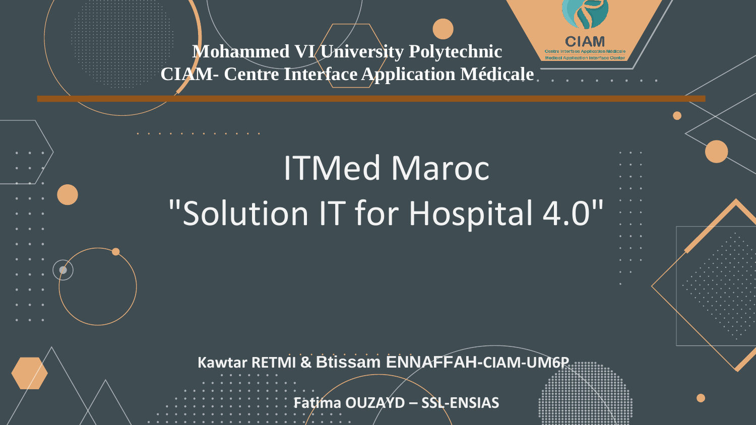**Mohammed VI University Polytechnic CIAM- Centre Interface Application Médicale**

# ITMed Maroc "Solution IT for Hospital 4.0"

**Kawtar RETMI & Btissam ENNAFFAH-CIAM-UM6P**

**Fatima OUZAYD – SSL-ENSIAS**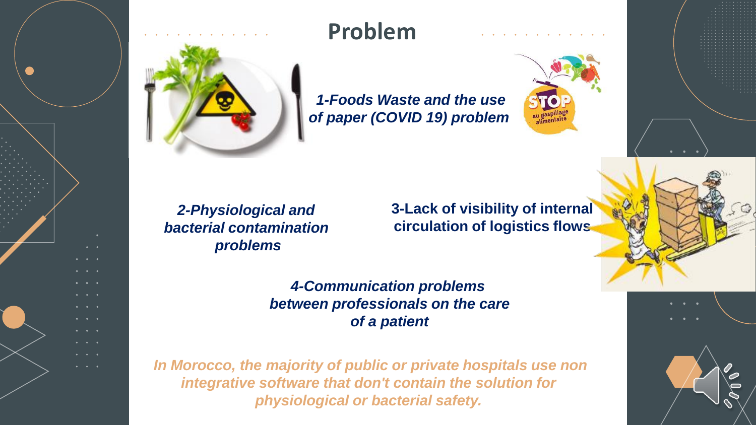



### **Problem**

*1-Foods Waste and the use of paper (COVID 19) problem*



*2-Physiological and bacterial contamination problems*

**3-Lack of visibility of internal circulation of logistics flows**

*4-Communication problems between professionals on the care of a patient*

*In Morocco, the majority of public or private hospitals use non integrative software that don't contain the solution for physiological or bacterial safety.*



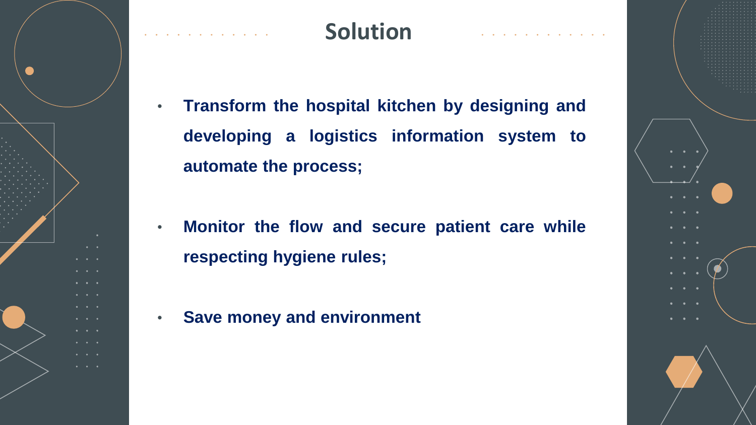

#### **Solution**

- **Transform the hospital kitchen by designing and developing a logistics information system to automate the process;**
- **Monitor the flow and secure patient care while respecting hygiene rules;**
- **Save money and environment**

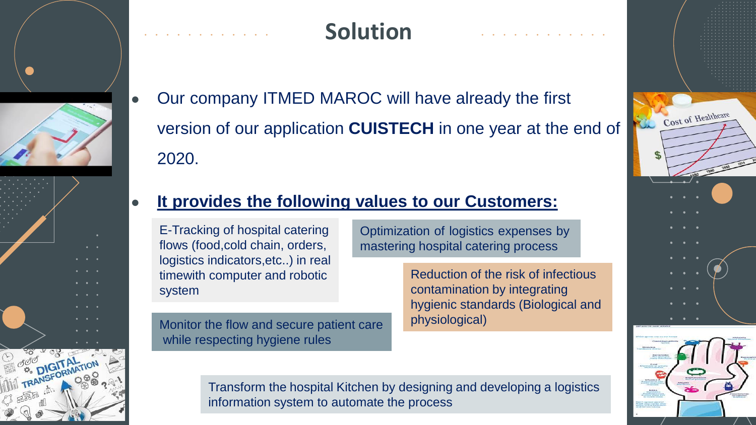

# **Solution**

• Our company ITMED MAROC will have already the first version of our application **CUISTECH** in one year at the end of 2020.

#### ● **It provides the following values to our Customers:**

---------<br>system E-Tracking of hospital catering flows (food,cold chain, orders, logistics indicators,etc..) in real timewith computer and robotic

Monitor the flow and secure patient care while respecting hygiene rules

Optimization of logistics expenses by mastering hospital catering process

> Reduction of the risk of infectious contamination by integrating hygienic standards (Biological and physiological)

Transform the hospital Kitchen by designing and developing a logistics information system to automate the process

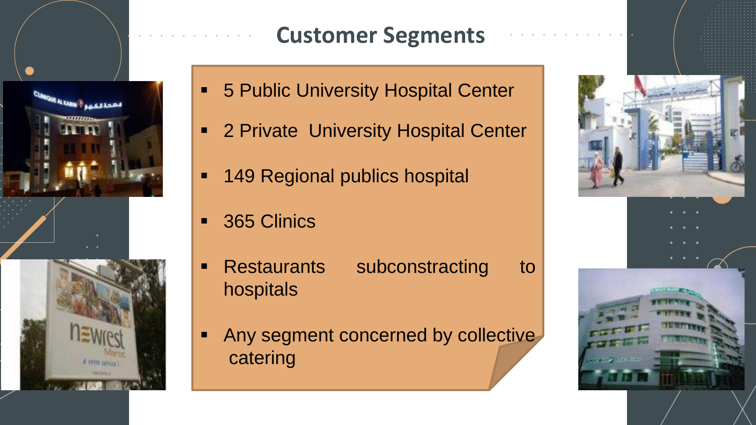

# **Customer Segments**

- **5 Public University Hospital Center**
- 2 Private University Hospital Center
- 149 Regional publics hospital
- 365 Clinics
- **EXECUTE:** Subconstracting to hospitals
- Any segment concerned by collective catering

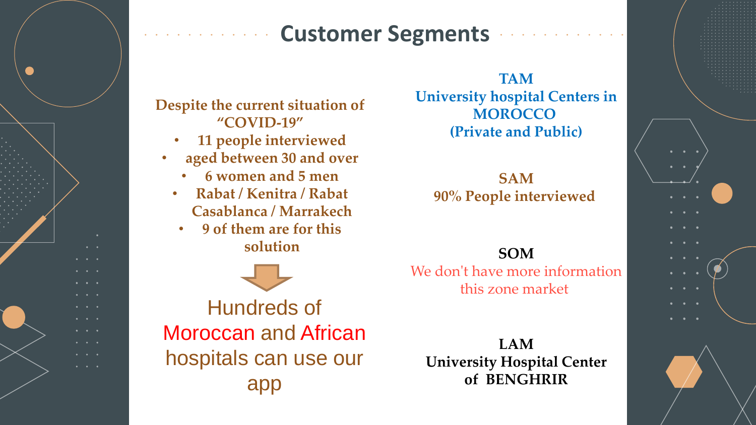#### **Customer Segments**

**Despite the current situation of "COVID-19"**

- **11 people interviewed**
- **aged between 30 and over**
	- **6 women and 5 men**
	- **Rabat / Kenitra / Rabat Casablanca / Marrakech**
		- **9 of them are for this solution**



Hundreds of Moroccan and African hospitals can use our app

**TAM University hospital Centers in MOROCCO (Private and Public)**

**SAM 90% People interviewed**

#### **SOM**

We don't have more information this zone market

**LAM University Hospital Center of BENGHRIR**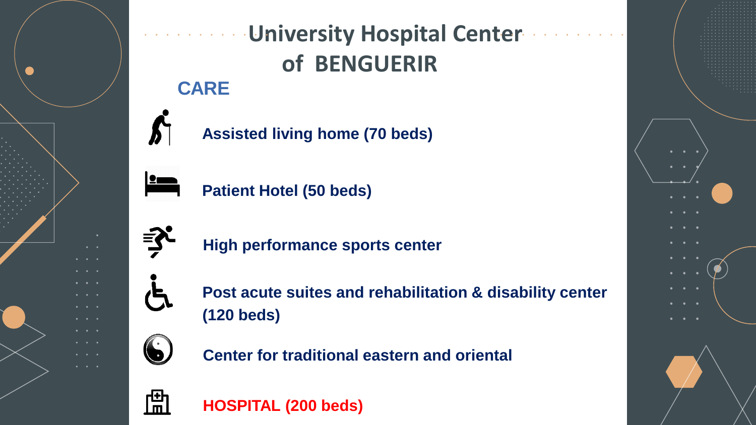

### **CARE University Hospital Center of BENGUERIR**

**Assisted living home (70 beds)**



**Patient Hotel (50 beds)**



**High performance sports center**



**Post acute suites and rehabilitation & disability center (120 beds)**



**Center for traditional eastern and oriental**



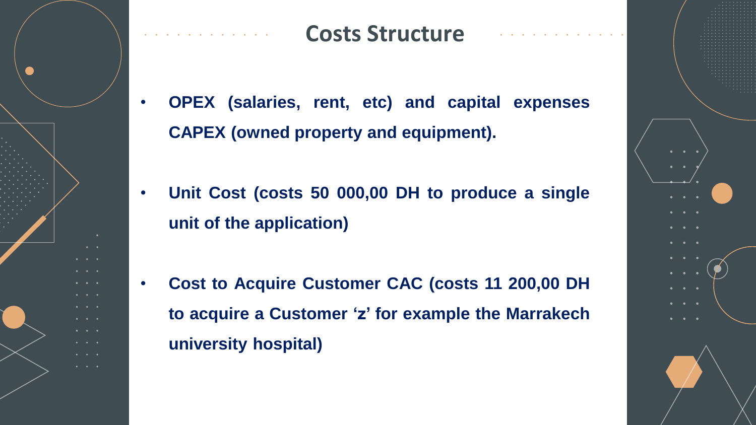

#### **Costs Structure**

- **OPEX (salaries, rent, etc) and capital expenses CAPEX (owned property and equipment).**
- **Unit Cost (costs 50 000,00 DH to produce a single unit of the application)**
- **Cost to Acquire Customer CAC (costs 11 200,00 DH to acquire a Customer 'z' for example the Marrakech university hospital)**

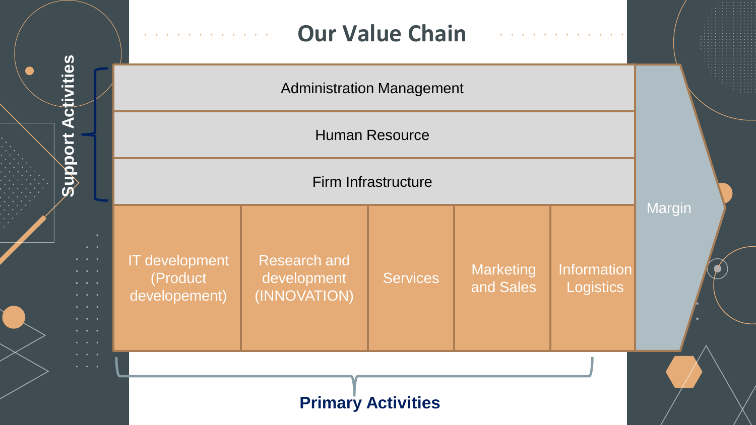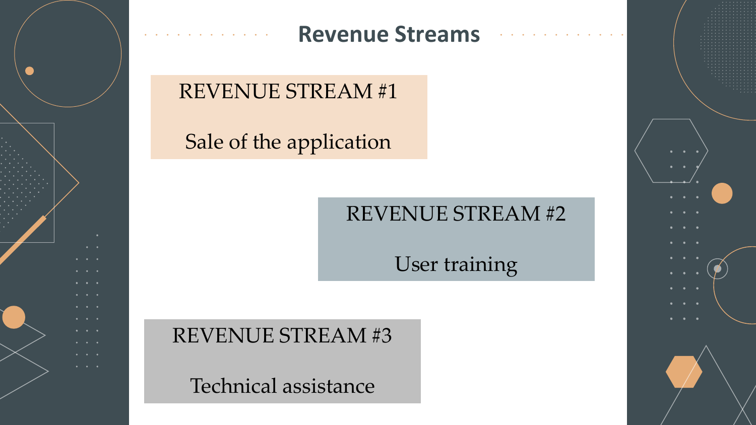

#### **Revenue Streams**

### REVENUE STREAM #1

### Sale of the application

# REVENUE STREAM #2

User training

REVENUE STREAM #3

Technical assistance

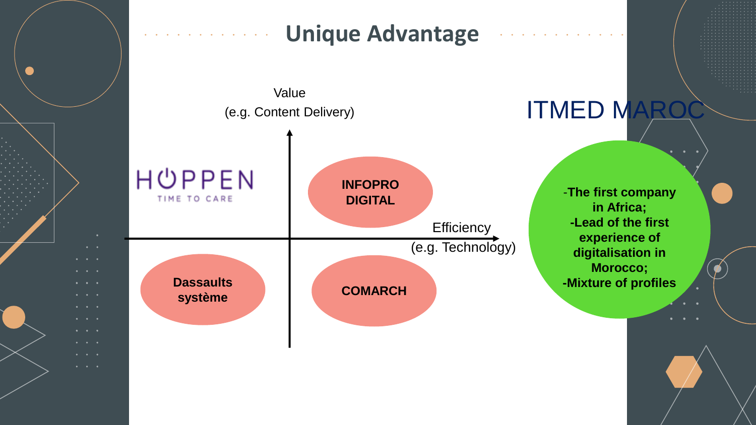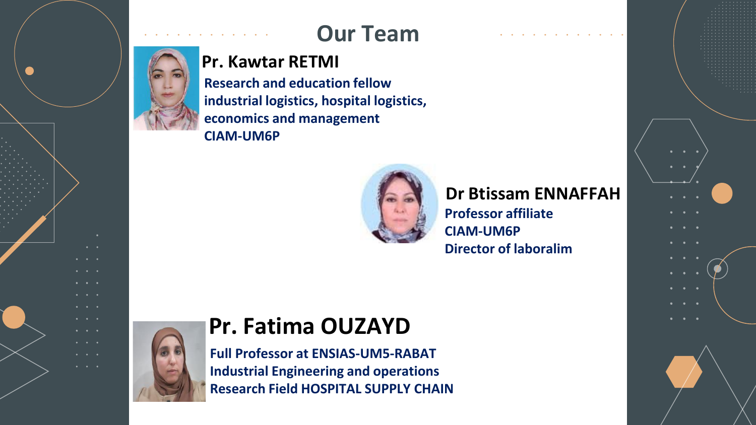

# **Our Team**

#### **Pr. Kawtar RETMI**

**Research and education fellow industrial logistics, hospital logistics, economics and management CIAM-UM6P**



**Dr Btissam ENNAFFAH Professor affiliate**

**CIAM-UM6P Director of laboralim**



 $\bullet$   $\bullet$ 

# **Pr. Fatima OUZAYD**

**Full Professor at ENSIAS-UM5-RABAT Industrial Engineering and operations Research Field HOSPITAL SUPPLY CHAIN**